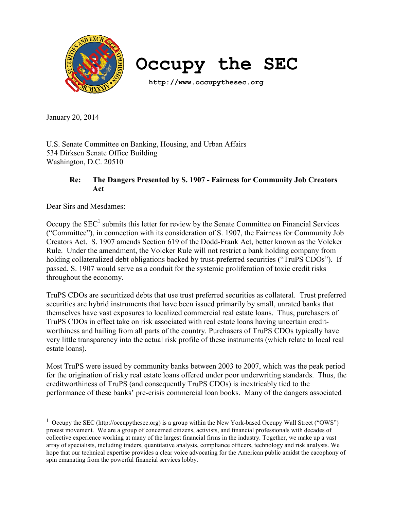

**Occupy the SEC**

 **http://www.occupythesec.org**

January 20, 2014

U.S. Senate Committee on Banking, Housing, and Urban Affairs 534 Dirksen Senate Office Building Washington, D.C. 20510

## **Re: The Dangers Presented by S. 1907 - Fairness for Community Job Creators Act**

Dear Sirs and Mesdames:

Occupy the  $SEC<sup>1</sup>$  submits this letter for review by the Senate Committee on Financial Services ("Committee"), in connection with its consideration of S. 1907, the Fairness for Community Job Creators Act. S. 1907 amends Section 619 of the Dodd-Frank Act, better known as the Volcker Rule. Under the amendment, the Volcker Rule will not restrict a bank holding company from holding collateralized debt obligations backed by trust-preferred securities ("TruPS CDOs"). If passed, S. 1907 would serve as a conduit for the systemic proliferation of toxic credit risks throughout the economy.

TruPS CDOs are securitized debts that use trust preferred securities as collateral. Trust preferred securities are hybrid instruments that have been issued primarily by small, unrated banks that themselves have vast exposures to localized commercial real estate loans. Thus, purchasers of TruPS CDOs in effect take on risk associated with real estate loans having uncertain creditworthiness and hailing from all parts of the country. Purchasers of TruPS CDOs typically have very little transparency into the actual risk profile of these instruments (which relate to local real estate loans).

Most TruPS were issued by community banks between 2003 to 2007, which was the peak period for the origination of risky real estate loans offered under poor underwriting standards. Thus, the creditworthiness of TruPS (and consequently TruPS CDOs) is inextricably tied to the performance of these banks' pre-crisis commercial loan books. Many of the dangers associated

<sup>&</sup>lt;sup>1</sup> Occupy the SEC (http://occupythesec.org) is a group within the New York-based Occupy Wall Street ("OWS") protest movement. We are a group of concerned citizens, activists, and financial professionals with decades of collective experience working at many of the largest financial firms in the industry. Together, we make up a vast array of specialists, including traders, quantitative analysts, compliance officers, technology and risk analysts. We hope that our technical expertise provides a clear voice advocating for the American public amidst the cacophony of spin emanating from the powerful financial services lobby.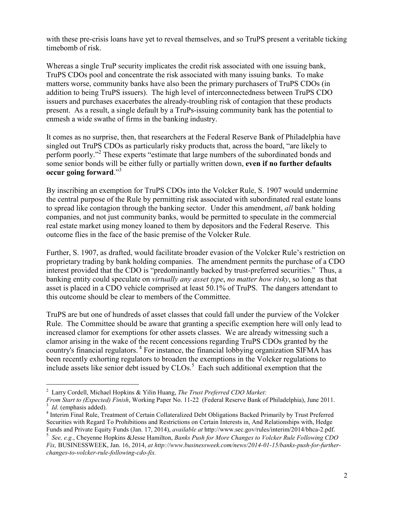with these pre-crisis loans have yet to reveal themselves, and so TruPS present a veritable ticking timebomb of risk.

Whereas a single TruP security implicates the credit risk associated with one issuing bank, TruPS CDOs pool and concentrate the risk associated with many issuing banks. To make matters worse, community banks have also been the primary purchasers of TruPS CDOs (in addition to being TruPS issuers). The high level of interconnectedness between TruPS CDO issuers and purchases exacerbates the already-troubling risk of contagion that these products present. As a result, a single default by a TruPs-issuing community bank has the potential to enmesh a wide swathe of firms in the banking industry.

It comes as no surprise, then, that researchers at the Federal Reserve Bank of Philadelphia have singled out TruPS CDOs as particularly risky products that, across the board, "are likely to perform poorly."<sup>2</sup> These experts "estimate that large numbers of the subordinated bonds and some senior bonds will be either fully or partially written down, **even if no further defaults occur going forward**."3

By inscribing an exemption for TruPS CDOs into the Volcker Rule, S. 1907 would undermine the central purpose of the Rule by permitting risk associated with subordinated real estate loans to spread like contagion through the banking sector. Under this amendment, *all* bank holding companies, and not just community banks, would be permitted to speculate in the commercial real estate market using money loaned to them by depositors and the Federal Reserve. This outcome flies in the face of the basic premise of the Volcker Rule.

Further, S. 1907, as drafted, would facilitate broader evasion of the Volcker Rule's restriction on proprietary trading by bank holding companies. The amendment permits the purchase of a CDO interest provided that the CDO is "predominantly backed by trust-preferred securities." Thus, a banking entity could speculate on *virtually any asset type*, *no matter how risky*, so long as that asset is placed in a CDO vehicle comprised at least 50.1% of TruPS. The dangers attendant to this outcome should be clear to members of the Committee.

TruPS are but one of hundreds of asset classes that could fall under the purview of the Volcker Rule. The Committee should be aware that granting a specific exemption here will only lead to increased clamor for exemptions for other assets classes. We are already witnessing such a clamor arising in the wake of the recent concessions regarding TruPS CDOs granted by the country's financial regulators.<sup>4</sup> For instance, the financial lobbying organization SIFMA has been recently exhorting regulators to broaden the exemptions in the Volcker regulations to include assets like senior debt issued by  $CLOS$ .<sup>5</sup> Each such additional exemption that the

 $\overline{a}$ 

<sup>2</sup> Larry Cordell, Michael Hopkins & Yilin Huang, *The Trust Preferred CDO Market:* 

*From Start to (Expected) Finish*, Working Paper No. 11-22 (Federal Reserve Bank of Philadelphia), June 2011. <sup>3</sup> *Id.* (emphasis added).

<sup>&</sup>lt;sup>4</sup> Interim Final Rule, Treatment of Certain Collateralized Debt Obligations Backed Primarily by Trust Preferred Securities with Regard To Prohibitions and Restrictions on Certain Interests in, And Relationships with, Hedge Funds and Private Equity Funds (Jan. 17, 2014), *available at* http://www.sec.gov/rules/interim/2014/bhca-2.pdf.

<sup>5</sup>  *See, e.g.*, Cheyenne Hopkins &Jesse Hamilton, *Banks Push for More Changes to Volcker Rule Following CDO Fix,* BUSINESSWEEK, Jan. 16, 2014, *at http://www.businessweek.com/news/2014-01-15/banks-push-for-furtherchanges-to-volcker-rule-following-cdo-fix.*